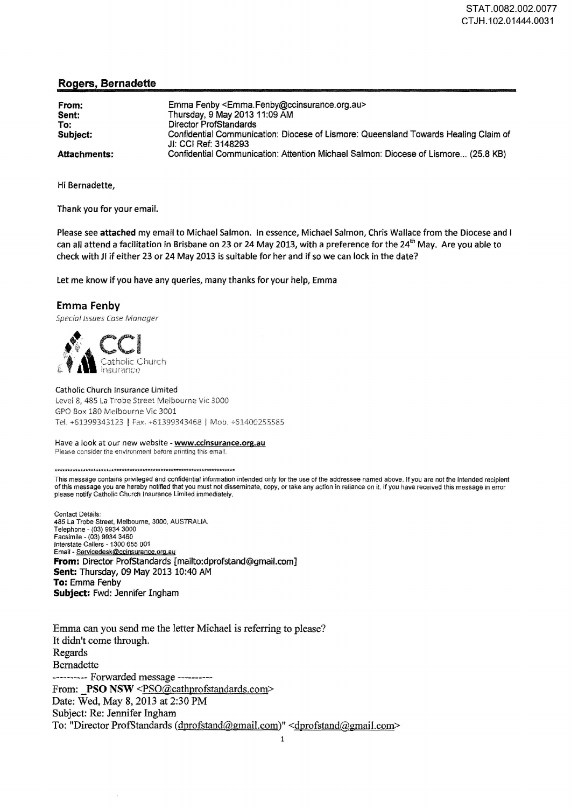## Rogers, Bernadette

| From:<br>Sent:<br>To:<br>Subject: | Emma Fenby <emma.fenby@ccinsurance.org.au><br/>Thursday, 9 May 2013 11:09 AM<br/>Director ProfStandards<br/>Confidential Communication: Diocese of Lismore: Queensland Towards Healing Claim of<br/>JI: CCI Ref: 3148293</emma.fenby@ccinsurance.org.au> |
|-----------------------------------|----------------------------------------------------------------------------------------------------------------------------------------------------------------------------------------------------------------------------------------------------------|
| Attachments:                      | Confidential Communication: Attention Michael Salmon: Diocese of Lismore (25.8 KB)                                                                                                                                                                       |

Hi Bernadette,

Thank you for your email.

Please see attached my email to Michael Salmon. In essence, Michael Salmon, Chris Wallace from the Diocese and I can all attend a facilitation in Brisbane on 23 or 24 May 2013, with a preference for the 24<sup>th</sup> May. Are you able to check with Jl if either 23 or 24 May 2013 is suitable for her and if so we can lock in the date?

let me know if you have any queries, many thanks for your help, Emma

## Emma Fenby

Special Issues Case Manager

Catholic Church **Insurance** 

Catholic Church Insurance Limited Level 8, 485 La Trobe Street Melbourne Vic 3000 GPO Box 180 Melbourne Vic 3001 Tel. +61399343123 I Fax. +61399343468 I Mob. +6140025.5585

Have a look at our new website - www.ccinsurance.org.au Please consider the environment before printing this email.

\*\*\*\*\*\*\*\*\*\*\*\*\*\*\*\*\*\*\*\*\*\*\*\*\*\*\*\*\*\*\*\*\*\*•\*\*\*\*\*\*\*\*\*\*\*"\*'\*\*\*.\*\*\*\*\*\*\*\*\*\*\*\*'\*"\*\*\*\*•\*

This message contains privileged and confidential information intended only for the use of the addressee named above. If you are not the intended recipient of this message you are hereby notified that you must not disseminate, copy. or take any action in reliance on it. If you have received this message in error please notify Catholic Church Insurance Limited immediately.

Contact Details: 485 LaTrobe Street, Melbourne, 3000, AUSTRALIA. Telephone - (03) 9934 3000 Facsimile- (03) 9934 3460 Interstate Callers - 1300 655 001 Email - Servicedesk@ccinsurance.org.au From: Director ProfStandards [mailto:dprofstand@gmail.com] Sent: Thursday, 09 May 2013 10:40 AM To: Emma Fenby Subject: Fwd: Jennifer Ingham

Emma can you send me the letter Michael is referring to please? It didn't come through. Regards Bernadette ----------Forwarded message---------- From: PSO NSW <PSO@cathprofstandards.com> Date: Wed, May 8, 2013 at 2:30 PM Subject: Re: Jennifer Ingham To: "Director ProfStandards ( dprofstand@gmail.com)" <dprofstand@gmail.com>